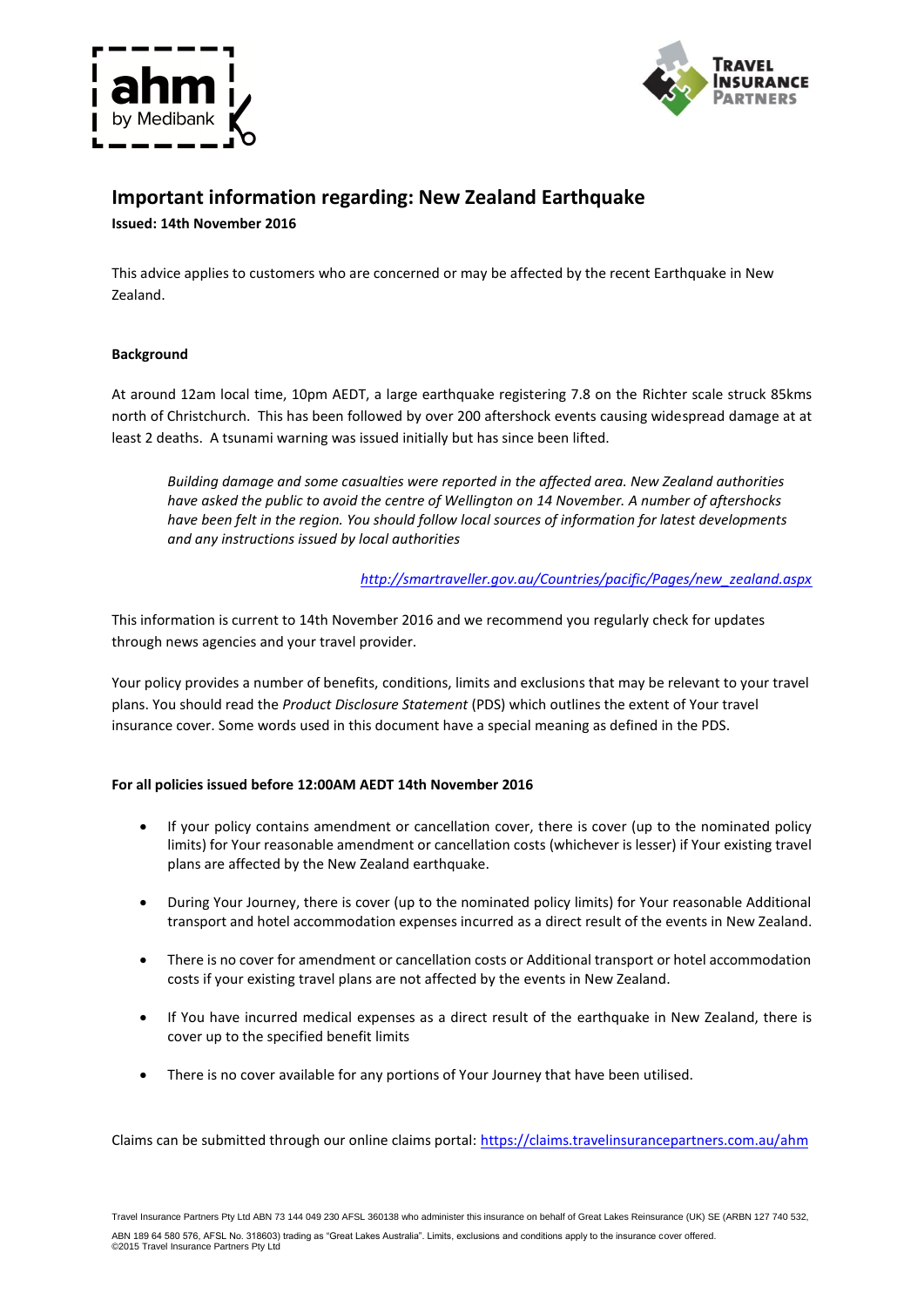



# **Important information regarding: New Zealand Earthquake Issued: 14th November 2016**

This advice applies to customers who are concerned or may be affected by the recent Earthquake in New Zealand.

# **Background**

At around 12am local time, 10pm AEDT, a large earthquake registering 7.8 on the Richter scale struck 85kms north of Christchurch. This has been followed by over 200 aftershock events causing widespread damage at at least 2 deaths. A tsunami warning was issued initially but has since been lifted.

*Building damage and some casualties were reported in the affected area. New Zealand authorities have asked the public to avoid the centre of Wellington on 14 November. A number of aftershocks have been felt in the region. You should follow local sources of information for latest developments and any instructions issued by local authorities*

# *[http://smartraveller.gov.au/Countries/pacific/Pages/new\\_zealand.aspx](http://smartraveller.gov.au/Countries/pacific/Pages/new_zealand.aspx)*

This information is current to 14th November 2016 and we recommend you regularly check for updates through news agencies and your travel provider.

Your policy provides a number of benefits, conditions, limits and exclusions that may be relevant to your travel plans. You should read the *Product Disclosure Statement* (PDS) which outlines the extent of Your travel insurance cover. Some words used in this document have a special meaning as defined in the PDS.

## **For all policies issued before 12:00AM AEDT 14th November 2016**

- If your policy contains amendment or cancellation cover, there is cover (up to the nominated policy limits) for Your reasonable amendment or cancellation costs (whichever is lesser) if Your existing travel plans are affected by the New Zealand earthquake.
- During Your Journey, there is cover (up to the nominated policy limits) for Your reasonable Additional transport and hotel accommodation expenses incurred as a direct result of the events in New Zealand.
- There is no cover for amendment or cancellation costs or Additional transport or hotel accommodation costs if your existing travel plans are not affected by the events in New Zealand.
- If You have incurred medical expenses as a direct result of the earthquake in New Zealand, there is cover up to the specified benefit limits
- There is no cover available for any portions of Your Journey that have been utilised.

Claims can be submitted through our online claims portal[: https://claims.travelinsurancepartners.com.au/a](https://claims.travelinsurancepartners.com.au/)hm